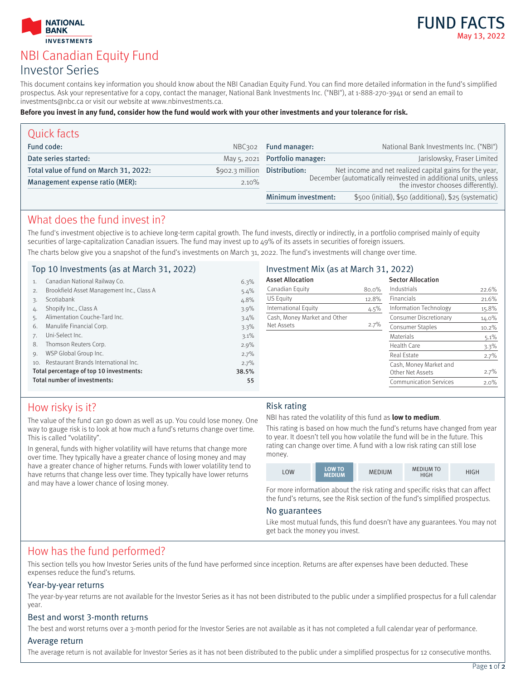



# NBI Canadian Equity Fund Investor Series

This document contains key information you should know about the NBI Canadian Equity Fund. You can find more detailed information in the fund's simplified prospectus. Ask your representative for a copy, contact the manager, National Bank Investments Inc. ("NBI"), at 1-888-270-3941 or send an email to investments@nbc.ca or visit our website at www.nbinvestments.ca.

#### **Before you invest in any fund, consider how the fund would work with your other investments and your tolerance for risk.**

| Quick facts                            |                  |                                                                                                      |                                                         |
|----------------------------------------|------------------|------------------------------------------------------------------------------------------------------|---------------------------------------------------------|
| Fund code:                             | NBC302           | Fund manager:                                                                                        | National Bank Investments Inc. ("NBI")                  |
| Date series started:                   |                  | May 5, 2021 Portfolio manager:                                                                       | Jarislowsky, Fraser Limited                             |
| Total value of fund on March 31, 2022: | $$902.3$ million | Distribution:                                                                                        | Net income and net realized capital gains for the year, |
| Management expense ratio (MER):        | $2.10\%$         | December (automatically reinvested in additional units, unless<br>the investor chooses differently). |                                                         |
|                                        |                  | Minimum investment:                                                                                  | \$500 (initial), \$50 (additional), \$25 (systematic)   |

### What does the fund invest in?

The fund's investment objective is to achieve long-term capital growth. The fund invests, directly or indirectly, in a portfolio comprised mainly of equity securities of large-capitalization Canadian issuers. The fund may invest up to 49% of its assets in securities of foreign issuers. The charts below give you a snapshot of the fund's investments on March 31, 2022. The fund's investments will change over time.

### Top 10 Investments (as at March 31, 2022)

|     | $100 - 100$ $111 - 000$ $111 - 000$ $100 - 000$ $111 - 000$ |         |                              |         |                               |          |
|-----|-------------------------------------------------------------|---------|------------------------------|---------|-------------------------------|----------|
| 1.  | Canadian National Railway Co.                               | 6.3%    | <b>Asset Allocation</b>      |         | <b>Sector Allocation</b>      |          |
| 2.  | Brookfield Asset Management Inc., Class A                   | $5.4\%$ | Canadian Equity              | 80.0%   | Industrials                   | 22.6%    |
|     | Scotiabank                                                  | 4.8%    | US Equity                    | 12.8%   | <b>Financials</b>             | 21.6%    |
| 4.  | Shopify Inc., Class A                                       | $3.9\%$ | International Equity         | $4.5\%$ | Information Technology        | 15.8%    |
|     | Alimentation Couche-Tard Inc.                               | $3.4\%$ | Cash, Money Market and Other |         | Consumer Discretionary        | 14.0%    |
| 6.  | Manulife Financial Corp.                                    | 3.3%    | Net Assets                   | $2.7\%$ | Consumer Staples              | $10.2\%$ |
|     | Uni-Select Inc.                                             | 3.1%    |                              |         | <b>Materials</b>              | $5.1\%$  |
| 8.  | Thomson Reuters Corp.                                       | $2.9\%$ |                              |         | Health Care                   | $3.3\%$  |
| 9.  | WSP Global Group Inc.                                       | 2.7%    |                              |         | Real Estate                   | $2.7\%$  |
| 10. | Restaurant Brands International Inc.                        | 2.7%    |                              |         | Cash, Money Market and        |          |
|     | Total percentage of top 10 investments:                     | 38.5%   |                              |         | Other Net Assets              | $2.7\%$  |
|     | Total number of investments:                                | 55      |                              |         | <b>Communication Services</b> | $2.0\%$  |
|     |                                                             |         |                              |         |                               |          |

### How risky is it?

The value of the fund can go down as well as up. You could lose money. One way to gauge risk is to look at how much a fund's returns change over time. This is called "volatility".

In general, funds with higher volatility will have returns that change more over time. They typically have a greater chance of losing money and may have a greater chance of higher returns. Funds with lower volatility tend to have returns that change less over time. They typically have lower returns and may have a lower chance of losing money.

#### Risk rating

NBI has rated the volatility of this fund as **low to medium**.

Investment Mix (as at March 31, 2022)

This rating is based on how much the fund's returns have changed from year to year. It doesn't tell you how volatile the fund will be in the future. This rating can change over time. A fund with a low risk rating can still lose money.

| LOW | <b>LOW TO</b><br><b>MEDIUM</b> | MEDIUM | <b>MEDIUM TO</b><br><b>HIGH</b> | HIGH |
|-----|--------------------------------|--------|---------------------------------|------|
|-----|--------------------------------|--------|---------------------------------|------|

For more information about the risk rating and specific risks that can affect the fund's returns, see the Risk section of the fund's simplified prospectus.

#### No guarantees

Like most mutual funds, this fund doesn't have any guarantees. You may not get back the money you invest.

### How has the fund performed?

This section tells you how Investor Series units of the fund have performed since inception. Returns are after expenses have been deducted. These expenses reduce the fund's returns.

### Year-by-year returns

The year-by-year returns are not available for the Investor Series as it has not been distributed to the public under a simplified prospectus for a full calendar year.

### Best and worst 3-month returns

The best and worst returns over a 3-month period for the Investor Series are not available as it has not completed a full calendar year of performance.

### Average return

The average return is not available for Investor Series as it has not been distributed to the public under a simplified prospectus for 12 consecutive months.